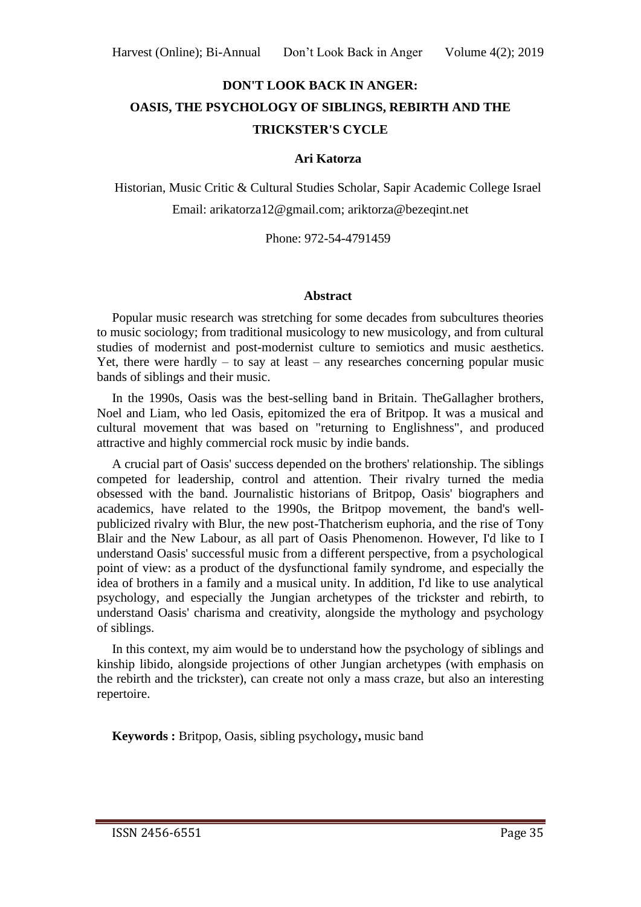# **DON'T LOOK BACK IN ANGER: OASIS, THE PSYCHOLOGY OF SIBLINGS, REBIRTH AND THE TRICKSTER'S CYCLE**

### **Ari Katorza**

Historian, Music Critic & Cultural Studies Scholar, Sapir Academic College Israel Email: arikatorza12@gmail.com; ariktorza@bezeqint.net

Phone: 972-54-4791459

#### **Abstract**

Popular music research was stretching for some decades from subcultures theories to music sociology; from traditional musicology to new musicology, and from cultural studies of modernist and post-modernist culture to semiotics and music aesthetics. Yet, there were hardly – to say at least – any researches concerning popular music bands of siblings and their music.

In the 1990s, Oasis was the best-selling band in Britain. TheGallagher brothers, Noel and Liam, who led Oasis, epitomized the era of Britpop. It was a musical and cultural movement that was based on "returning to Englishness", and produced attractive and highly commercial rock music by indie bands.

A crucial part of Oasis' success depended on the brothers' relationship. The siblings competed for leadership, control and attention. Their rivalry turned the media obsessed with the band. Journalistic historians of Britpop, Oasis' biographers and academics, have related to the 1990s, the Britpop movement, the band's wellpublicized rivalry with Blur, the new post-Thatcherism euphoria, and the rise of Tony Blair and the New Labour, as all part of Oasis Phenomenon. However, I'd like to I understand Oasis' successful music from a different perspective, from a psychological point of view: as a product of the dysfunctional family syndrome, and especially the idea of brothers in a family and a musical unity. In addition, I'd like to use analytical psychology, and especially the Jungian archetypes of the trickster and rebirth, to understand Oasis' charisma and creativity, alongside the mythology and psychology of siblings.

In this context, my aim would be to understand how the psychology of siblings and kinship libido, alongside projections of other Jungian archetypes (with emphasis on the rebirth and the trickster), can create not only a mass craze, but also an interesting repertoire.

**Keywords :** Britpop, Oasis, sibling psychology**,** music band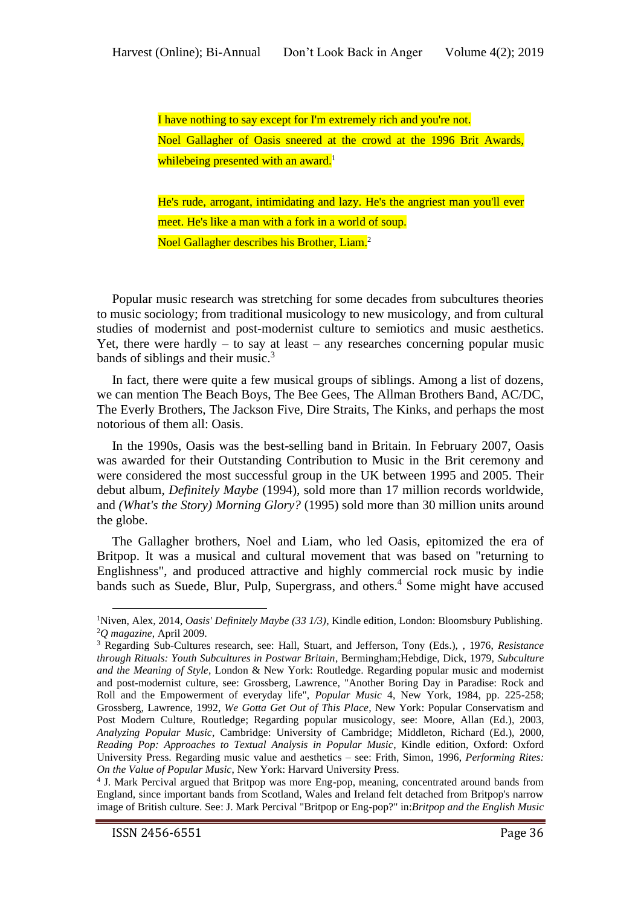I have nothing to say except for I'm extremely rich and you're not. Noel Gallagher of Oasis sneered at the crowd at the 1996 Brit Awards, whilebeing presented with an award.<sup>1</sup>

He's rude, arrogant, intimidating and lazy. He's the angriest man you'll ever meet. He's like a man with a fork in a world of soup. Noel Gallagher describes his Brother, Liam.<sup>2</sup>

Popular music research was stretching for some decades from subcultures theories to music sociology; from traditional musicology to new musicology, and from cultural studies of modernist and post-modernist culture to semiotics and music aesthetics. Yet, there were hardly  $-$  to say at least  $-$  any researches concerning popular music bands of siblings and their music. $3$ 

In fact, there were quite a few musical groups of siblings. Among a list of dozens, we can mention The Beach Boys, The Bee Gees, The Allman Brothers Band, AC/DC, The Everly Brothers, The Jackson Five, Dire Straits, The Kinks, and perhaps the most notorious of them all: Oasis.

In the 1990s, Oasis was the best-selling band in Britain. In February 2007, Oasis was awarded for their Outstanding Contribution to Music in the Brit ceremony and were considered the most successful group in the UK between 1995 and 2005. Their debut album, *Definitely Maybe* (1994), sold more than 17 million records worldwide, and *(What's the Story) Morning Glory?* (1995) sold more than 30 million units around the globe.

The Gallagher brothers, Noel and Liam, who led Oasis, epitomized the era of Britpop. It was a musical and cultural movement that was based on "returning to Englishness", and produced attractive and highly commercial rock music by indie bands such as Suede, Blur, Pulp, Supergrass, and others.<sup>4</sup> Some might have accused

<sup>1</sup>Niven, Alex, 2014, *Oasis' Definitely Maybe (33 1/3)*, Kindle edition, London: Bloomsbury Publishing. <sup>2</sup>*Q magazine*, April 2009.

<sup>3</sup> Regarding Sub-Cultures research, see: Hall, Stuart, and Jefferson, Tony (Eds.), , 1976, *Resistance through Rituals: Youth Subcultures in Postwar Britain*, Bermingham;Hebdige, Dick, 1979*, Subculture and the Meaning of Style*, London & New York: Routledge. Regarding popular music and modernist and post-modernist culture, see: Grossberg, Lawrence, "Another Boring Day in Paradise: Rock and Roll and the Empowerment of everyday life", *Popular Music* 4, New York, 1984, pp. 225-258; Grossberg, Lawrence, 1992, *We Gotta Get Out of This Place*, New York: Popular Conservatism and Post Modern Culture, Routledge; Regarding popular musicology, see: Moore, Allan (Ed.), 2003, *Analyzing Popular Music*, Cambridge: University of Cambridge; Middleton, Richard (Ed.), 2000, *Reading Pop: Approaches to Textual Analysis in Popular Music*, Kindle edition, Oxford: Oxford University Press. Regarding music value and aesthetics – see: Frith, Simon, 1996, *Performing Rites: On the Value of Popular Music*, New York: Harvard University Press.

<sup>4</sup> J. Mark Percival argued that Britpop was more Eng-pop, meaning, concentrated around bands from England, since important bands from Scotland, Wales and Ireland felt detached from Britpop's narrow image of British culture. See: J. Mark Percival "Britpop or Eng-pop?" in:*Britpop and the English Music*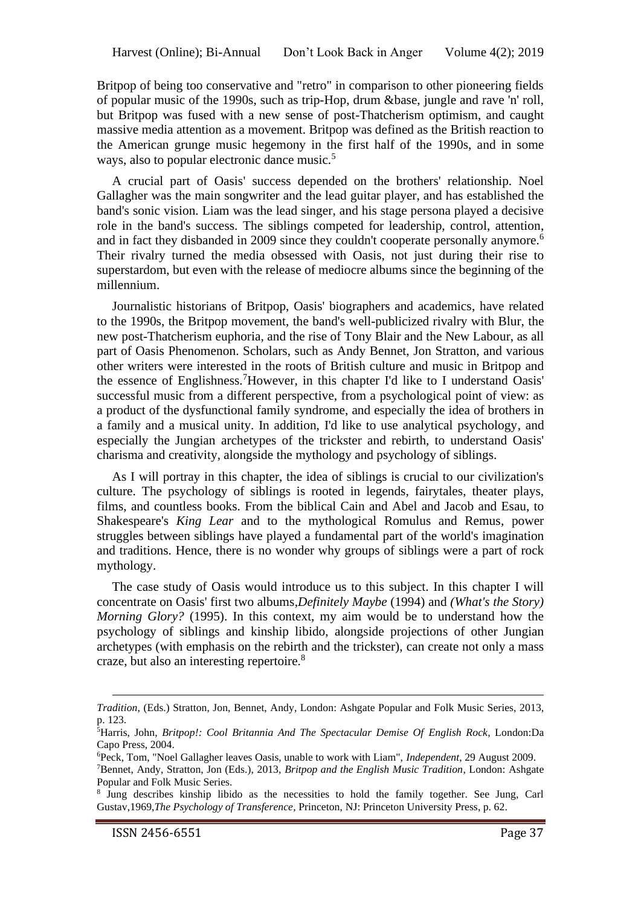Britpop of being too conservative and "retro" in comparison to other pioneering fields of popular music of the 1990s, such as trip-Hop, drum &base, jungle and rave 'n' roll, but Britpop was fused with a new sense of post-Thatcherism optimism, and caught massive media attention as a movement. Britpop was defined as the British reaction to the American grunge music hegemony in the first half of the 1990s, and in some ways, also to popular electronic dance music.<sup>5</sup>

A crucial part of Oasis' success depended on the brothers' relationship. Noel Gallagher was the main songwriter and the lead guitar player, and has established the band's sonic vision. Liam was the lead singer, and his stage persona played a decisive role in the band's success. The siblings competed for leadership, control, attention, and in fact they disbanded in 2009 since they couldn't cooperate personally anymore.<sup>6</sup> Their rivalry turned the media obsessed with Oasis, not just during their rise to superstardom, but even with the release of mediocre albums since the beginning of the millennium.

Journalistic historians of Britpop, Oasis' biographers and academics, have related to the 1990s, the Britpop movement, the band's well-publicized rivalry with Blur, the new post-Thatcherism euphoria, and the rise of Tony Blair and the New Labour, as all part of Oasis Phenomenon. Scholars, such as Andy Bennet, Jon Stratton, and various other writers were interested in the roots of British culture and music in Britpop and the essence of Englishness.<sup>7</sup>However, in this chapter I'd like to I understand Oasis' successful music from a different perspective, from a psychological point of view: as a product of the dysfunctional family syndrome, and especially the idea of brothers in a family and a musical unity. In addition, I'd like to use analytical psychology, and especially the Jungian archetypes of the trickster and rebirth, to understand Oasis' charisma and creativity, alongside the mythology and psychology of siblings.

As I will portray in this chapter, the idea of siblings is crucial to our civilization's culture. The psychology of siblings is rooted in legends, fairytales, theater plays, films, and countless books. From the biblical Cain and Abel and Jacob and Esau, to Shakespeare's *King Lear* and to the mythological Romulus and Remus*,* power struggles between siblings have played a fundamental part of the world's imagination and traditions. Hence, there is no wonder why groups of siblings were a part of rock mythology.

The case study of Oasis would introduce us to this subject. In this chapter I will concentrate on Oasis' first two albums,*Definitely Maybe* (1994) and *(What's the Story) Morning Glory?* (1995). In this context, my aim would be to understand how the psychology of siblings and kinship libido, alongside projections of other Jungian archetypes (with emphasis on the rebirth and the trickster), can create not only a mass craze, but also an interesting repertoire.<sup>8</sup>

*Tradition*, (Eds.) Stratton, Jon, Bennet, Andy, London: Ashgate Popular and Folk Music Series, 2013, p. 123.

<sup>5</sup>Harris, John, *Britpop!: Cool Britannia And The Spectacular Demise Of English Rock*, London:Da Capo Press, 2004.

<sup>6</sup>Peck, Tom, "Noel Gallagher leaves Oasis, unable to work with Liam", *Independent*, 29 August 2009. <sup>7</sup>Bennet, Andy, Stratton, Jon (Eds.), 2013*, Britpop and the English Music Tradition*, London: Ashgate Popular and Folk Music Series.

<sup>8</sup> Jung describes kinship libido as the necessities to hold the family together. See Jung, Carl Gustav,1969,*The Psychology of Transference*, Princeton, NJ: Princeton University Press, p. 62.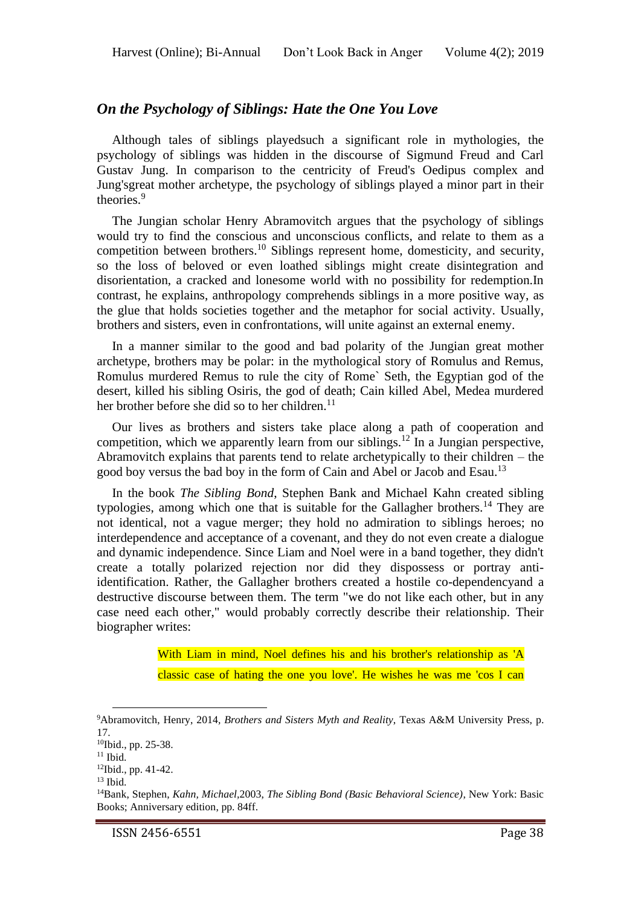# *On the Psychology of Siblings: Hate the One You Love*

Although tales of siblings playedsuch a significant role in mythologies, the psychology of siblings was hidden in the discourse of Sigmund Freud and Carl Gustav Jung. In comparison to the centricity of Freud's Oedipus complex and Jung'sgreat mother archetype, the psychology of siblings played a minor part in their theories.<sup>9</sup>

The Jungian scholar Henry Abramovitch argues that the psychology of siblings would try to find the conscious and unconscious conflicts, and relate to them as a competition between brothers.<sup>10</sup> Siblings represent home, domesticity, and security, so the loss of beloved or even loathed siblings might create disintegration and disorientation, a cracked and lonesome world with no possibility for redemption.In contrast, he explains, anthropology comprehends siblings in a more positive way, as the glue that holds societies together and the metaphor for social activity. Usually, brothers and sisters, even in confrontations, will unite against an external enemy.

In a manner similar to the good and bad polarity of the Jungian great mother archetype, brothers may be polar: in the mythological story of Romulus and Remus, Romulus murdered Remus to rule the city of Rome` Seth, the Egyptian god of the desert, killed his sibling Osiris, the god of death; Cain killed Abel, Medea murdered her brother before she did so to her children. $^{11}$ 

Our lives as brothers and sisters take place along a path of cooperation and competition, which we apparently learn from our siblings.<sup>12</sup> In a Jungian perspective, Abramovitch explains that parents tend to relate archetypically to their children – the good boy versus the bad boy in the form of Cain and Abel or Jacob and Esau.<sup>13</sup>

In the book *The Sibling Bond*, Stephen Bank and Michael Kahn created sibling typologies, among which one that is suitable for the Gallagher brothers.<sup>14</sup> They are not identical, not a vague merger; they hold no admiration to siblings heroes; no interdependence and acceptance of a covenant, and they do not even create a dialogue and dynamic independence. Since Liam and Noel were in a band together, they didn't create a totally polarized rejection nor did they dispossess or portray antiidentification. Rather, the Gallagher brothers created a hostile co-dependencyand a destructive discourse between them. The term "we do not like each other, but in any case need each other," would probably correctly describe their relationship. Their biographer writes:

> With Liam in mind, Noel defines his and his brother's relationship as 'A classic case of hating the one you love'. He wishes he was me 'cos I can

<sup>9</sup>Abramovitch, Henry, 2014*, Brothers and Sisters Myth and Reality*, Texas A&M University Press, p. 17.

<sup>10</sup>Ibid., pp. 25-38.

 $^{\rm 11}$  Ibid.

 $12$ Ibid., pp. 41-42.

<sup>13</sup> Ibid.

<sup>14</sup>Bank, Stephen, *Kahn, Michael,*2003, *The Sibling Bond (Basic Behavioral Science)*, New York: Basic Books; Anniversary edition, pp. 84ff.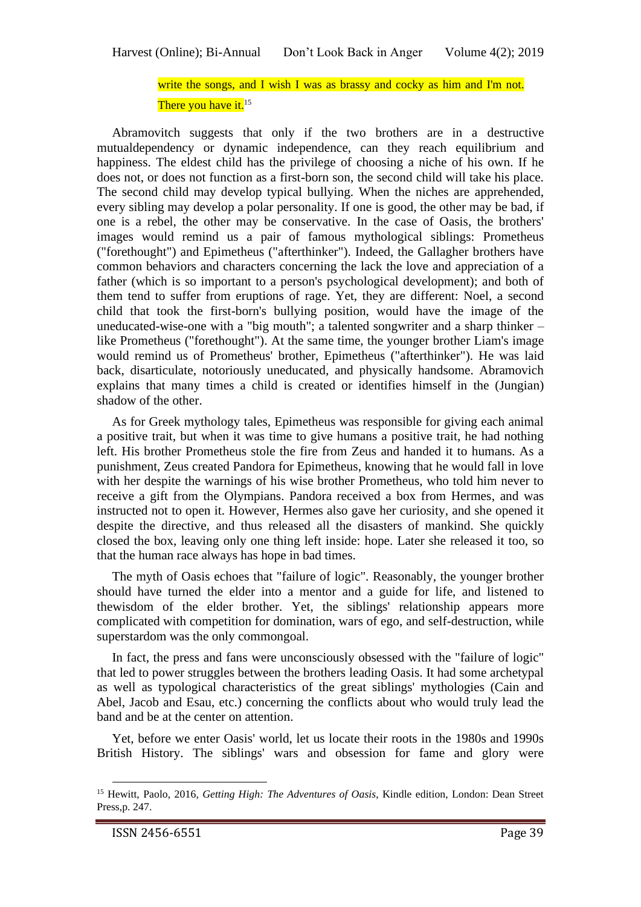write the songs, and I wish I was as brassy and cocky as him and I'm not. There you have it. $15$ 

Abramovitch suggests that only if the two brothers are in a destructive mutualdependency or dynamic independence, can they reach equilibrium and happiness. The eldest child has the privilege of choosing a niche of his own. If he does not, or does not function as a first-born son, the second child will take his place. The second child may develop typical bullying. When the niches are apprehended, every sibling may develop a polar personality. If one is good, the other may be bad, if one is a rebel, the other may be conservative. In the case of Oasis, the brothers' images would remind us a pair of famous mythological siblings: Prometheus ("forethought") and Epimetheus ("afterthinker"). Indeed, the Gallagher brothers have common behaviors and characters concerning the lack the love and appreciation of a father (which is so important to a person's psychological development); and both of them tend to suffer from eruptions of rage. Yet, they are different: Noel, a second child that took the first-born's bullying position, would have the image of the uneducated-wise-one with a "big mouth"; a talented songwriter and a sharp thinker – like Prometheus ("forethought"). At the same time, the younger brother Liam's image would remind us of Prometheus' brother, Epimetheus ("afterthinker"). He was laid back, disarticulate, notoriously uneducated, and physically handsome. Abramovich explains that many times a child is created or identifies himself in the (Jungian) shadow of the other.

As for Greek mythology tales, Epimetheus was responsible for giving each animal a positive trait, but when it was time to give humans a positive trait, he had nothing left. His brother Prometheus stole the fire from Zeus and handed it to humans. As a punishment, Zeus created Pandora for Epimetheus, knowing that he would fall in love with her despite the warnings of his wise brother Prometheus, who told him never to receive a gift from the Olympians. Pandora received a box from Hermes, and was instructed not to open it. However, Hermes also gave her curiosity, and she opened it despite the directive, and thus released all the disasters of mankind. She quickly closed the box, leaving only one thing left inside: hope. Later she released it too, so that the human race always has hope in bad times.

The myth of Oasis echoes that "failure of logic". Reasonably, the younger brother should have turned the elder into a mentor and a guide for life, and listened to thewisdom of the elder brother. Yet, the siblings' relationship appears more complicated with competition for domination, wars of ego, and self-destruction, while superstardom was the only commongoal.

In fact, the press and fans were unconsciously obsessed with the "failure of logic" that led to power struggles between the brothers leading Oasis. It had some archetypal as well as typological characteristics of the great siblings' mythologies (Cain and Abel, Jacob and Esau, etc.) concerning the conflicts about who would truly lead the band and be at the center on attention.

Yet, before we enter Oasis' world, let us locate their roots in the 1980s and 1990s British History. The siblings' wars and obsession for fame and glory were

<sup>15</sup> Hewitt, Paolo, 2016*, Getting High: The Adventures of Oasis*, Kindle edition, London: Dean Street Press,p. 247.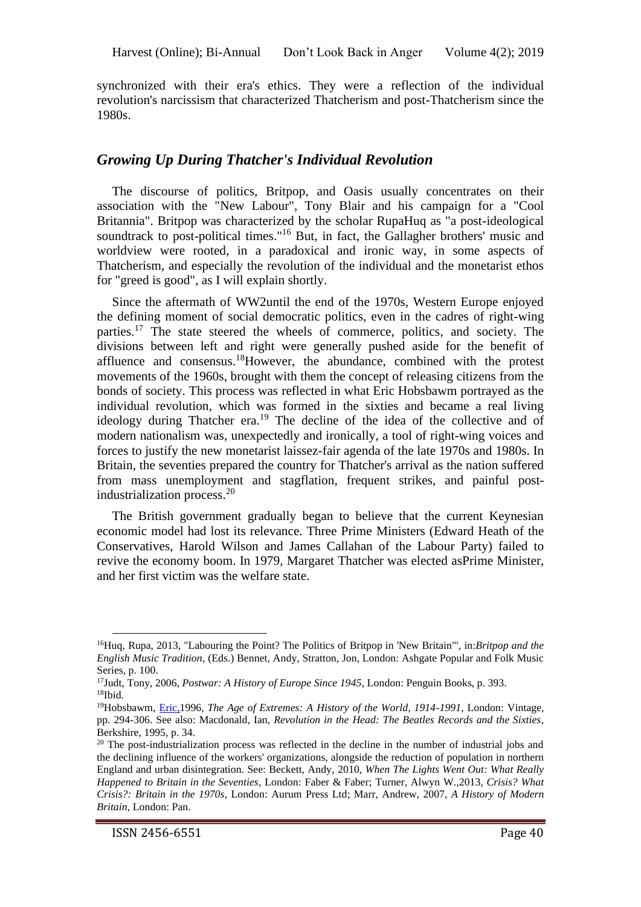synchronized with their era's ethics. They were a reflection of the individual revolution's narcissism that characterized Thatcherism and post-Thatcherism since the 1980s.

# *Growing Up During Thatcher's Individual Revolution*

The discourse of politics, Britpop, and Oasis usually concentrates on their association with the "New Labour", Tony Blair and his campaign for a "Cool Britannia". Britpop was characterized by the scholar RupaHuq as "a post-ideological soundtrack to post-political times."<sup>16</sup> But, in fact, the Gallagher brothers' music and worldview were rooted, in a paradoxical and ironic way, in some aspects of Thatcherism, and especially the revolution of the individual and the monetarist ethos for "greed is good", as I will explain shortly.

Since the aftermath of WW2until the end of the 1970s, Western Europe enjoyed the defining moment of social democratic politics, even in the cadres of right-wing parties.<sup>17</sup> The state steered the wheels of commerce, politics, and society. The divisions between left and right were generally pushed aside for the benefit of affluence and consensus.<sup>18</sup>However, the abundance, combined with the protest movements of the 1960s, brought with them the concept of releasing citizens from the bonds of society. This process was reflected in what Eric Hobsbawm portrayed as the individual revolution, which was formed in the sixties and became a real living ideology during Thatcher era.<sup>19</sup> The decline of the idea of the collective and of modern nationalism was, unexpectedly and ironically, a tool of right-wing voices and forces to justify the new monetarist laissez-fair agenda of the late 1970s and 1980s. In Britain, the seventies prepared the country for Thatcher's arrival as the nation suffered from mass unemployment and stagflation, frequent strikes, and painful postindustrialization process.<sup>20</sup>

The British government gradually began to believe that the current Keynesian economic model had lost its relevance. Three Prime Ministers (Edward Heath of the Conservatives, Harold Wilson and James Callahan of the Labour Party) failed to revive the economy boom. In 1979, Margaret Thatcher was elected asPrime Minister, and her first victim was the welfare state.

<sup>16</sup>Huq, Rupa, 2013, "Labouring the Point? The Politics of Britpop in 'New Britain'", in:*Britpop and the English Music Tradition*, (Eds.) Bennet, Andy, Stratton, Jon, London: Ashgate Popular and Folk Music Series, p. 100.

<sup>17</sup>Judt, Tony, 2006, *Postwar: A History of Europe Since 1945*, London: Penguin Books, p. 393. <sup>18</sup>Ibid*.*

<sup>19</sup>Hobsbawm, [Eric,](https://www.amazon.com/s/ref=dp_byline_sr_book_1?ie=UTF8&text=Eric+Hobsbawm&search-alias=books&field-author=Eric+Hobsbawm&sort=relevancerank)1996*, The Age of Extremes: A History of the World, 1914-1991*, London: Vintage, pp. 294-306. See also: Macdonald, Ian, *Revolution in the Head: The Beatles Records and the Sixties*, Berkshire, 1995, p. 34.

<sup>&</sup>lt;sup>20</sup> The post-industrialization process was reflected in the decline in the number of industrial jobs and the declining influence of the workers' organizations, alongside the reduction of population in northern England and urban disintegration. See: Beckett, Andy, 2010, *When The Lights Went Out: What Really Happened to Britain in the Seventies*, London: Faber & Faber; Turner, Alwyn W.,2013*, Crisis? What Crisis?: Britain in the 1970s*, London: Aurum Press Ltd; Marr, Andrew, 2007, *A History of Modern Britain*, London: Pan.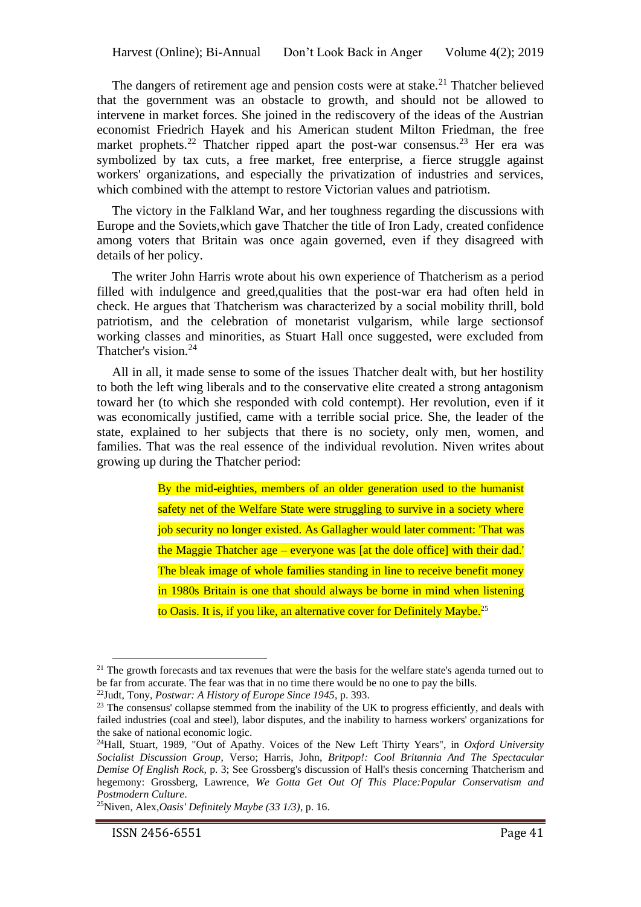The dangers of retirement age and pension costs were at stake.<sup>21</sup> Thatcher believed that the government was an obstacle to growth, and should not be allowed to intervene in market forces. She joined in the rediscovery of the ideas of the Austrian economist Friedrich Hayek and his American student Milton Friedman, the free market prophets.<sup>22</sup> Thatcher ripped apart the post-war consensus.<sup>23</sup> Her era was symbolized by tax cuts, a free market, free enterprise, a fierce struggle against workers' organizations, and especially the privatization of industries and services, which combined with the attempt to restore Victorian values and patriotism.

The victory in the Falkland War, and her toughness regarding the discussions with Europe and the Soviets,which gave Thatcher the title of Iron Lady, created confidence among voters that Britain was once again governed, even if they disagreed with details of her policy.

The writer John Harris wrote about his own experience of Thatcherism as a period filled with indulgence and greed,qualities that the post-war era had often held in check. He argues that Thatcherism was characterized by a social mobility thrill, bold patriotism, and the celebration of monetarist vulgarism, while large sectionsof working classes and minorities, as Stuart Hall once suggested, were excluded from Thatcher's vision.<sup>24</sup>

All in all, it made sense to some of the issues Thatcher dealt with, but her hostility to both the left wing liberals and to the conservative elite created a strong antagonism toward her (to which she responded with cold contempt). Her revolution, even if it was economically justified, came with a terrible social price. She, the leader of the state, explained to her subjects that there is no society, only men, women, and families. That was the real essence of the individual revolution. Niven writes about growing up during the Thatcher period:

> By the mid-eighties, members of an older generation used to the humanist safety net of the Welfare State were struggling to survive in a society where job security no longer existed. As Gallagher would later comment: 'That was the Maggie Thatcher age – everyone was [at the dole office] with their dad.' The bleak image of whole families standing in line to receive benefit money in 1980s Britain is one that should always be borne in mind when listening to Oasis. It is, if you like, an alternative cover for Definitely Maybe.<sup>25</sup>

 $21$  The growth forecasts and tax revenues that were the basis for the welfare state's agenda turned out to be far from accurate. The fear was that in no time there would be no one to pay the bills.

<sup>22</sup>Judt, Tony, *Postwar: A History of Europe Since 1945*, p. 393.

<sup>&</sup>lt;sup>23</sup> The consensus' collapse stemmed from the inability of the UK to progress efficiently, and deals with failed industries (coal and steel), labor disputes, and the inability to harness workers' organizations for the sake of national economic logic.

<sup>24</sup>Hall, Stuart, 1989, "Out of Apathy. Voices of the New Left Thirty Years", in *Oxford University Socialist Discussion Group*, Verso; Harris, John, *Britpop!: Cool Britannia And The Spectacular Demise Of English Rock*, p. 3; See Grossberg's discussion of Hall's thesis concerning Thatcherism and hegemony: Grossberg, Lawrence, *We Gotta Get Out Of This Place:Popular Conservatism and Postmodern Culture*.

<sup>25</sup>Niven, Alex,*Oasis' Definitely Maybe (33 1/3)*, p. 16.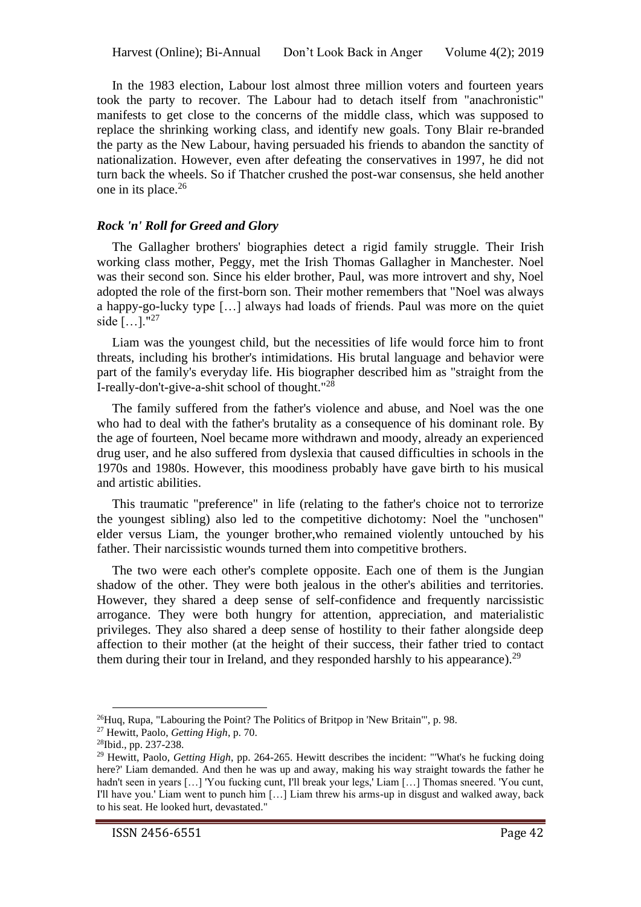In the 1983 election, Labour lost almost three million voters and fourteen years took the party to recover. The Labour had to detach itself from "anachronistic" manifests to get close to the concerns of the middle class, which was supposed to replace the shrinking working class, and identify new goals. Tony Blair re-branded the party as the New Labour, having persuaded his friends to abandon the sanctity of nationalization. However, even after defeating the conservatives in 1997, he did not turn back the wheels. So if Thatcher crushed the post-war consensus, she held another one in its place.<sup>26</sup>

## *Rock 'n' Roll for Greed and Glory*

The Gallagher brothers' biographies detect a rigid family struggle. Their Irish working class mother, Peggy, met the Irish Thomas Gallagher in Manchester. Noel was their second son. Since his elder brother, Paul, was more introvert and shy, Noel adopted the role of the first-born son. Their mother remembers that "Noel was always a happy-go-lucky type […] always had loads of friends. Paul was more on the quiet side  $[...]$ ."<sup>27</sup>

Liam was the youngest child, but the necessities of life would force him to front threats, including his brother's intimidations. His brutal language and behavior were part of the family's everyday life. His biographer described him as "straight from the I-really-don't-give-a-shit school of thought."<sup>28</sup>

The family suffered from the father's violence and abuse, and Noel was the one who had to deal with the father's brutality as a consequence of his dominant role. By the age of fourteen, Noel became more withdrawn and moody, already an experienced drug user, and he also suffered from dyslexia that caused difficulties in schools in the 1970s and 1980s. However, this moodiness probably have gave birth to his musical and artistic abilities.

This traumatic "preference" in life (relating to the father's choice not to terrorize the youngest sibling) also led to the competitive dichotomy: Noel the "unchosen" elder versus Liam, the younger brother,who remained violently untouched by his father. Their narcissistic wounds turned them into competitive brothers.

The two were each other's complete opposite. Each one of them is the Jungian shadow of the other. They were both jealous in the other's abilities and territories. However, they shared a deep sense of self-confidence and frequently narcissistic arrogance. They were both hungry for attention, appreciation, and materialistic privileges. They also shared a deep sense of hostility to their father alongside deep affection to their mother (at the height of their success, their father tried to contact them during their tour in Ireland, and they responded harshly to his appearance).<sup>29</sup>

<sup>26</sup>Huq, Rupa, "Labouring the Point? The Politics of Britpop in 'New Britain'", p. 98.

<sup>27</sup> Hewitt, Paolo, *Getting High*, p. 70.

<sup>28</sup>Ibid., pp. 237-238.

<sup>29</sup> Hewitt, Paolo, *Getting High*, pp. 264-265. Hewitt describes the incident: "'What's he fucking doing here?' Liam demanded. And then he was up and away, making his way straight towards the father he hadn't seen in years [...] 'You fucking cunt, I'll break your legs,' Liam [...] Thomas sneered. 'You cunt, I'll have you.' Liam went to punch him […] Liam threw his arms-up in disgust and walked away, back to his seat. He looked hurt, devastated."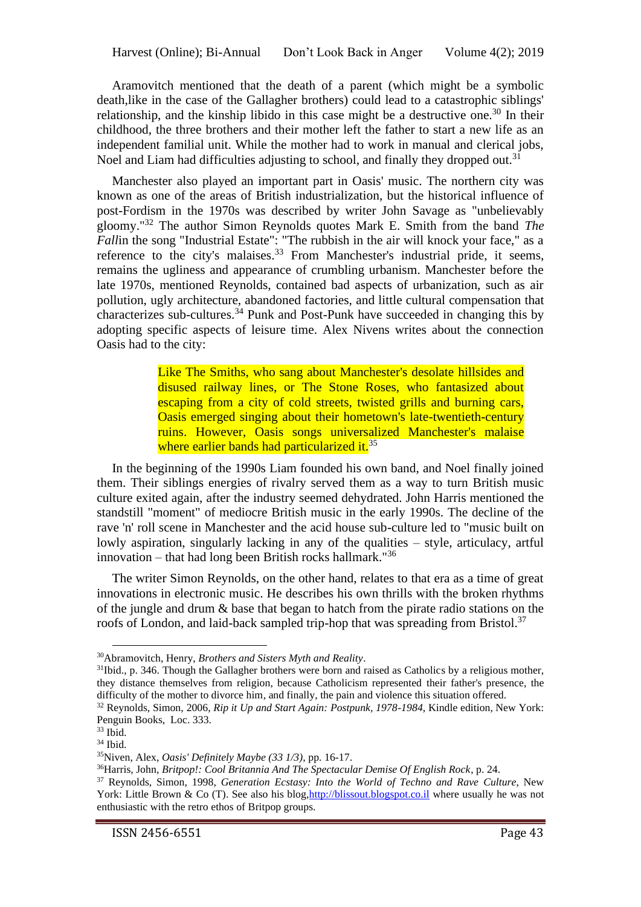Aramovitch mentioned that the death of a parent (which might be a symbolic death,like in the case of the Gallagher brothers) could lead to a catastrophic siblings' relationship, and the kinship libido in this case might be a destructive one.<sup>30</sup> In their childhood, the three brothers and their mother left the father to start a new life as an independent familial unit. While the mother had to work in manual and clerical jobs, Noel and Liam had difficulties adjusting to school, and finally they dropped out.<sup>31</sup>

Manchester also played an important part in Oasis' music. The northern city was known as one of the areas of British industrialization, but the historical influence of post-Fordism in the 1970s was described by writer John Savage as "unbelievably gloomy."<sup>32</sup> The author Simon Reynolds quotes Mark E. Smith from the band *The Fallin* the song "Industrial Estate": "The rubbish in the air will knock your face," as a reference to the city's malaises.<sup>33</sup> From Manchester's industrial pride, it seems, remains the ugliness and appearance of crumbling urbanism. Manchester before the late 1970s, mentioned Reynolds, contained bad aspects of urbanization, such as air pollution, ugly architecture, abandoned factories, and little cultural compensation that characterizes sub-cultures.<sup>34</sup> Punk and Post-Punk have succeeded in changing this by adopting specific aspects of leisure time. Alex Nivens writes about the connection Oasis had to the city:

> Like The Smiths, who sang about Manchester's desolate hillsides and disused railway lines, or The Stone Roses, who fantasized about escaping from a city of cold streets, twisted grills and burning cars, Oasis emerged singing about their hometown's late-twentieth-century ruins. However, Oasis songs universalized Manchester's malaise where earlier bands had particularized it.<sup>35</sup>

In the beginning of the 1990s Liam founded his own band, and Noel finally joined them. Their siblings energies of rivalry served them as a way to turn British music culture exited again, after the industry seemed dehydrated. John Harris mentioned the standstill "moment" of mediocre British music in the early 1990s. The decline of the rave 'n' roll scene in Manchester and the acid house sub-culture led to "music built on lowly aspiration, singularly lacking in any of the qualities – style, articulacy, artful innovation – that had long been British rocks hallmark." $36$ 

The writer Simon Reynolds, on the other hand, relates to that era as a time of great innovations in electronic music. He describes his own thrills with the broken rhythms of the jungle and drum & base that began to hatch from the pirate radio stations on the roofs of London, and laid-back sampled trip-hop that was spreading from Bristol.<sup>37</sup>

<sup>30</sup>Abramovitch, Henry, *Brothers and Sisters Myth and Reality*.

 $31$ Ibid., p. 346. Though the Gallagher brothers were born and raised as Catholics by a religious mother, they distance themselves from religion, because Catholicism represented their father's presence, the difficulty of the mother to divorce him, and finally, the pain and violence this situation offered.

<sup>32</sup> Reynolds, Simon, 2006, *Rip it Up and Start Again: Postpunk, 1978-1984*, Kindle edition, New York: Penguin Books, Loc. 333.

 $33$  Ibid.

<sup>34</sup> Ibid.

<sup>35</sup>Niven, Alex, *Oasis' Definitely Maybe (33 1/3)*, pp. 16-17.

<sup>36</sup>Harris, John, *Britpop!: Cool Britannia And The Spectacular Demise Of English Rock*, p. 24.

<sup>37</sup> Reynolds, Simon, 1998, *Generation Ecstasy: Into the World of Techno and Rave Culture*, New York: Little Brown & Co (T). See also his blog, http://blissout.blogspot.co.il where usually he was not enthusiastic with the retro ethos of Britpop groups.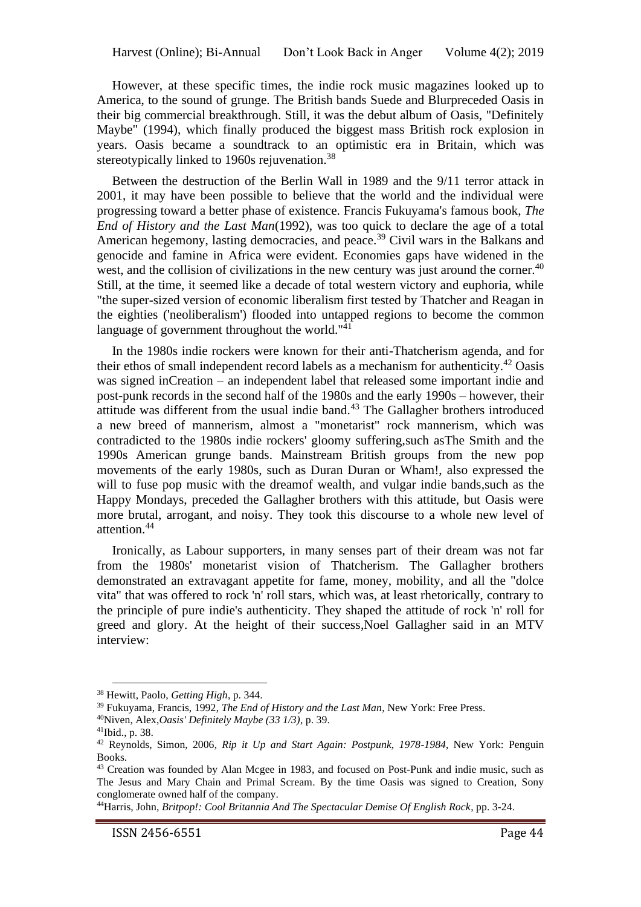However, at these specific times, the indie rock music magazines looked up to America, to the sound of grunge. The British bands Suede and Blurpreceded Oasis in their big commercial breakthrough. Still, it was the debut album of Oasis, "Definitely Maybe" (1994), which finally produced the biggest mass British rock explosion in years. Oasis became a soundtrack to an optimistic era in Britain, which was stereotypically linked to 1960s rejuvenation.<sup>38</sup>

Between the destruction of the Berlin Wall in 1989 and the 9/11 terror attack in 2001, it may have been possible to believe that the world and the individual were progressing toward a better phase of existence. Francis Fukuyama's famous book, *The End of History and the Last Man*(1992), was too quick to declare the age of a total American hegemony, lasting democracies, and peace.<sup>39</sup> Civil wars in the Balkans and genocide and famine in Africa were evident. Economies gaps have widened in the west, and the collision of civilizations in the new century was just around the corner.<sup>40</sup> Still, at the time, it seemed like a decade of total western victory and euphoria, while "the super-sized version of economic liberalism first tested by Thatcher and Reagan in the eighties ('neoliberalism') flooded into untapped regions to become the common language of government throughout the world."<sup>41</sup>

In the 1980s indie rockers were known for their anti-Thatcherism agenda, and for their ethos of small independent record labels as a mechanism for authenticity.<sup>42</sup> Oasis was signed inCreation – an independent label that released some important indie and post-punk records in the second half of the 1980s and the early 1990s – however, their attitude was different from the usual indie band.<sup>43</sup> The Gallagher brothers introduced a new breed of mannerism, almost a "monetarist" rock mannerism, which was contradicted to the 1980s indie rockers' gloomy suffering,such asThe Smith and the 1990s American grunge bands. Mainstream British groups from the new pop movements of the early 1980s, such as Duran Duran or Wham!, also expressed the will to fuse pop music with the dreamof wealth, and vulgar indie bands, such as the Happy Mondays, preceded the Gallagher brothers with this attitude, but Oasis were more brutal, arrogant, and noisy. They took this discourse to a whole new level of attention.<sup>44</sup>

Ironically, as Labour supporters, in many senses part of their dream was not far from the 1980s' monetarist vision of Thatcherism. The Gallagher brothers demonstrated an extravagant appetite for fame, money, mobility, and all the "dolce vita" that was offered to rock 'n' roll stars, which was, at least rhetorically, contrary to the principle of pure indie's authenticity. They shaped the attitude of rock 'n' roll for greed and glory. At the height of their success,Noel Gallagher said in an MTV interview:

<sup>38</sup> Hewitt, Paolo, *Getting High*, p. 344.

<sup>39</sup> Fukuyama, Francis, 1992, *The End of History and the Last Man*, New York: Free Press.

<sup>40</sup>Niven, Alex,*Oasis' Definitely Maybe (33 1/3)*, p. 39.

<sup>41</sup>Ibid., p. 38.

<sup>42</sup> Reynolds, Simon, 2006*, Rip it Up and Start Again: Postpunk, 1978-1984*, New York: Penguin Books.

<sup>&</sup>lt;sup>43</sup> Creation was founded by Alan Mcgee in 1983, and focused on Post-Punk and indie music, such as The Jesus and Mary Chain and Primal Scream. By the time Oasis was signed to Creation, Sony conglomerate owned half of the company.

<sup>44</sup>Harris, John, *Britpop!: Cool Britannia And The Spectacular Demise Of English Rock*, pp. 3-24.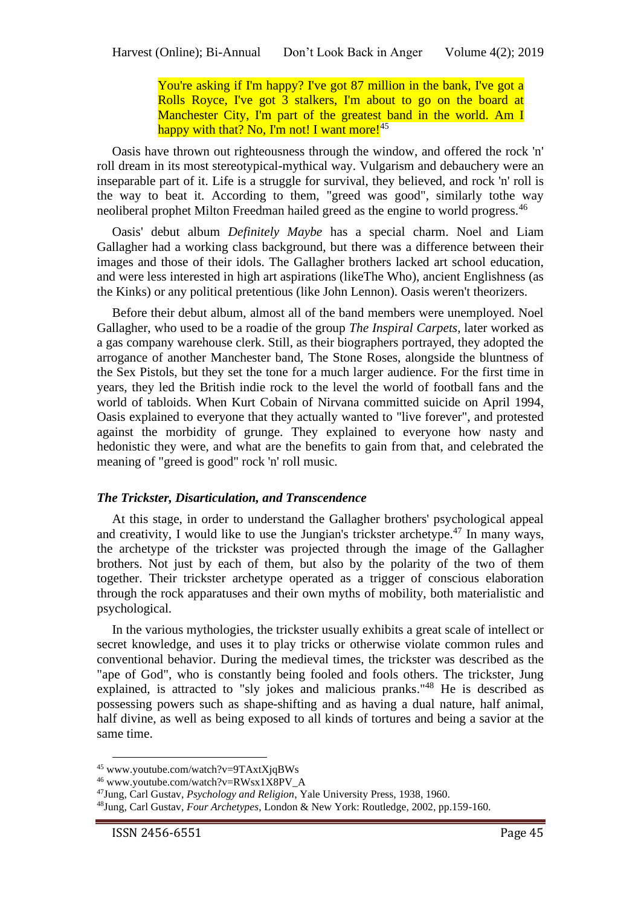You're asking if I'm happy? I've got 87 million in the bank, I've got a Rolls Royce, I've got 3 stalkers, I'm about to go on the board at Manchester City, I'm part of the greatest band in the world. Am I happy with that? No, I'm not! I want more! $45$ 

Oasis have thrown out righteousness through the window, and offered the rock 'n' roll dream in its most stereotypical-mythical way. Vulgarism and debauchery were an inseparable part of it. Life is a struggle for survival, they believed, and rock 'n' roll is the way to beat it. According to them, "greed was good", similarly tothe way neoliberal prophet Milton Freedman hailed greed as the engine to world progress.<sup>46</sup>

Oasis' debut album *Definitely Maybe* has a special charm. Noel and Liam Gallagher had a working class background, but there was a difference between their images and those of their idols. The Gallagher brothers lacked art school education, and were less interested in high art aspirations (likeThe Who), ancient Englishness (as the Kinks) or any political pretentious (like John Lennon). Oasis weren't theorizers.

Before their debut album, almost all of the band members were unemployed. Noel Gallagher, who used to be a roadie of the group *The Inspiral Carpets*, later worked as a gas company warehouse clerk. Still, as their biographers portrayed, they adopted the arrogance of another Manchester band, The Stone Roses, alongside the bluntness of the Sex Pistols, but they set the tone for a much larger audience. For the first time in years, they led the British indie rock to the level the world of football fans and the world of tabloids. When Kurt Cobain of Nirvana committed suicide on April 1994, Oasis explained to everyone that they actually wanted to "live forever", and protested against the morbidity of grunge. They explained to everyone how nasty and hedonistic they were, and what are the benefits to gain from that, and celebrated the meaning of "greed is good" rock 'n' roll music.

#### *The Trickster, Disarticulation, and Transcendence*

At this stage, in order to understand the Gallagher brothers' psychological appeal and creativity, I would like to use the Jungian's trickster archetype.<sup>47</sup> In many ways, the archetype of the trickster was projected through the image of the Gallagher brothers. Not just by each of them, but also by the polarity of the two of them together. Their trickster archetype operated as a trigger of conscious elaboration through the rock apparatuses and their own myths of mobility, both materialistic and psychological.

In the various mythologies, the trickster usually exhibits a great scale of intellect or secret knowledge, and uses it to play tricks or otherwise violate common rules and conventional behavior. During the medieval times, the trickster was described as the "ape of God", who is constantly being fooled and fools others. The trickster, Jung explained, is attracted to "sly jokes and malicious pranks."<sup>48</sup> He is described as possessing powers such as shape-shifting and as having a dual nature, half animal, half divine, as well as being exposed to all kinds of tortures and being a savior at the same time.

<sup>45</sup> www.youtube.com/watch?v=9TAxtXjqBWs

<sup>46</sup> www.youtube.com/watch?v=RWsx1X8PV\_A

<sup>47</sup>Jung, Carl Gustav, *Psychology and Religion*, Yale University Press, 1938, 1960.

<sup>48</sup>Jung, Carl Gustav, *Four Archetypes*, London & New York: Routledge, 2002, pp.159-160.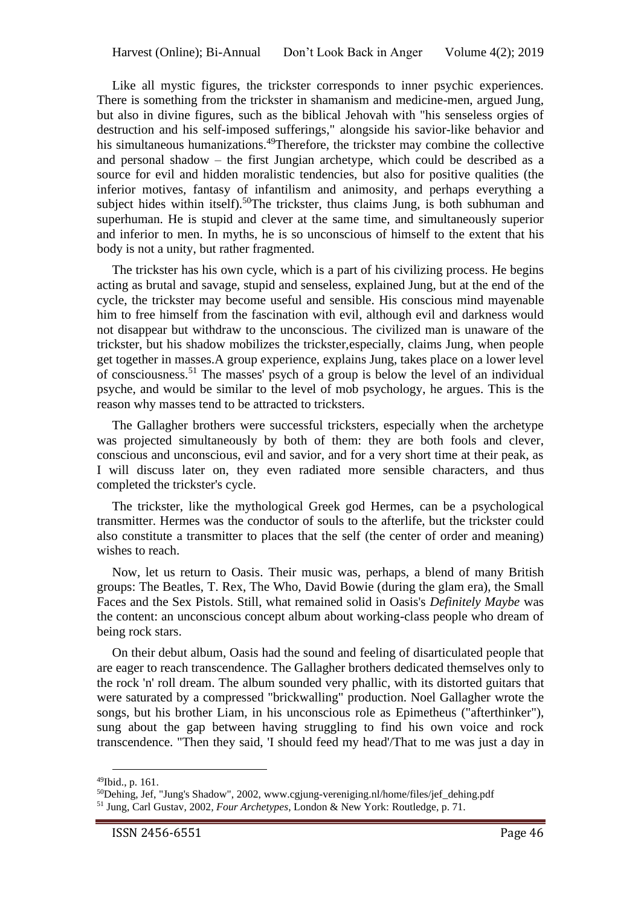Like all mystic figures, the trickster corresponds to inner psychic experiences. There is something from the trickster in shamanism and medicine-men, argued Jung, but also in divine figures, such as the biblical Jehovah with "his senseless orgies of destruction and his self-imposed sufferings," alongside his savior-like behavior and his simultaneous humanizations.<sup>49</sup>Therefore, the trickster may combine the collective and personal shadow – the first Jungian archetype, which could be described as a source for evil and hidden moralistic tendencies, but also for positive qualities (the inferior motives, fantasy of infantilism and animosity, and perhaps everything a subject hides within itself).<sup>50</sup>The trickster, thus claims Jung, is both subhuman and superhuman. He is stupid and clever at the same time, and simultaneously superior and inferior to men. In myths, he is so unconscious of himself to the extent that his body is not a unity, but rather fragmented.

The trickster has his own cycle, which is a part of his civilizing process. He begins acting as brutal and savage, stupid and senseless, explained Jung, but at the end of the cycle, the trickster may become useful and sensible. His conscious mind mayenable him to free himself from the fascination with evil, although evil and darkness would not disappear but withdraw to the unconscious. The civilized man is unaware of the trickster, but his shadow mobilizes the trickster,especially, claims Jung, when people get together in masses.A group experience, explains Jung, takes place on a lower level of consciousness.<sup>51</sup> The masses' psych of a group is below the level of an individual psyche, and would be similar to the level of mob psychology, he argues. This is the reason why masses tend to be attracted to tricksters.

The Gallagher brothers were successful tricksters, especially when the archetype was projected simultaneously by both of them: they are both fools and clever, conscious and unconscious, evil and savior, and for a very short time at their peak, as I will discuss later on, they even radiated more sensible characters, and thus completed the trickster's cycle.

The trickster, like the mythological Greek god Hermes, can be a psychological transmitter. Hermes was the conductor of souls to the afterlife, but the trickster could also constitute a transmitter to places that the self (the center of order and meaning) wishes to reach.

Now, let us return to Oasis. Their music was, perhaps, a blend of many British groups: The Beatles, T. Rex, The Who, David Bowie (during the glam era), the Small Faces and the Sex Pistols. Still, what remained solid in Oasis's *Definitely Maybe* was the content: an unconscious concept album about working-class people who dream of being rock stars.

On their debut album, Oasis had the sound and feeling of disarticulated people that are eager to reach transcendence. The Gallagher brothers dedicated themselves only to the rock 'n' roll dream. The album sounded very phallic, with its distorted guitars that were saturated by a compressed "brickwalling" production. Noel Gallagher wrote the songs, but his brother Liam, in his unconscious role as Epimetheus ("afterthinker"), sung about the gap between having struggling to find his own voice and rock transcendence. ["Then they said, 'I should feed my head'/That to me was just a day in](https://genius.com/Oasis-rock-n-roll-star-lyrics#note-3117628) 

<sup>49</sup>Ibid., p. 161.

<sup>&</sup>lt;sup>50</sup>Dehing, Jef, "Jung's Shadow", 2002, www.cgjung-vereniging.nl/home/files/jef\_dehing.pdf

<sup>51</sup> Jung, Carl Gustav, 2002*, Four Archetypes*, London & New York: Routledge, p. 71.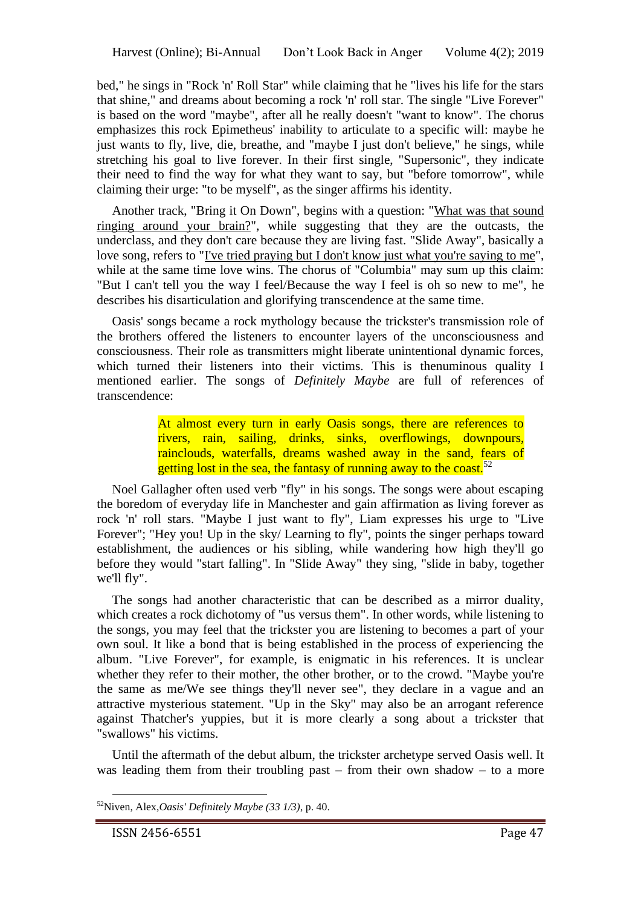[bed,](https://genius.com/Oasis-rock-n-roll-star-lyrics#note-3117628)" he sings in "Rock 'n' Roll Star" while claiming that he "lives his life for the stars that shine," and dreams about becoming a rock 'n' roll star. The single "Live Forever" is based on the word "maybe", after all he really doesn't "want to know". The chorus emphasizes this rock Epimetheus' inability to articulate to a specific will: maybe he just wants to fly, live, die, breathe, and "maybe I just don't believe," he sings, while stretching his goal to live forever. In their first single, "Supersonic", they indicate their need to find the way for what they want to say, but "before tomorrow", while claiming their urge: "to be myself", as the singer affirms his identity.

Another track, "Bring it On Down", begins with a question: ["What was that sound](https://genius.com/Oasis-bring-it-on-down-lyrics#note-8072017)  [ringing around your brain?"](https://genius.com/Oasis-bring-it-on-down-lyrics#note-8072017), while suggesting that they are the outcasts, the underclass, and they don't care because they are living fast. "Slide Away", basically a love song, refers to ["I've tried praying but I don't know just what you're saying to me"](https://genius.com/Oasis-slide-away-lyrics#note-6765003), while at the same time love wins. The chorus of "Columbia" may sum up this claim: "But I can't tell you the way I feel/Because the way I feel is oh so new to me", he describes his disarticulation and glorifying transcendence at the same time.

Oasis' songs became a rock mythology because the trickster's transmission role of the brothers offered the listeners to encounter layers of the unconsciousness and consciousness. Their role as transmitters might liberate unintentional dynamic forces, which turned their listeners into their victims. This is thenuminous quality I mentioned earlier. The songs of *Definitely Maybe* are full of references of transcendence:

> At almost every turn in early Oasis songs, there are references to rivers, rain, sailing, drinks, sinks, overflowings, downpours, rainclouds, waterfalls, dreams washed away in the sand, fears of getting lost in the sea, the fantasy of running away to the coast.<sup>52</sup>

Noel Gallagher often used verb "fly" in his songs. The songs were about escaping the boredom of everyday life in Manchester and gain affirmation as living forever as rock 'n' roll stars. "Maybe I just want to fly", Liam expresses his urge to "Live Forever"; ["Hey you! Up in the sky/ Learning to fly"](https://genius.com/Oasis-up-in-the-sky-lyrics#note-5593600), points the singer perhaps toward establishment, the audiences or his sibling, while wandering [how high they'll go](https://genius.com/Oasis-up-in-the-sky-lyrics#note-5593600)  [before they would "start falling"](https://genius.com/Oasis-up-in-the-sky-lyrics#note-5593600). In "Slide Away" they sing, "slide in baby, together we'll fly".

The songs had another characteristic that can be described as a mirror duality, which creates a rock dichotomy of "us versus them". In other words, while listening to the songs, you may feel that the trickster you are listening to becomes a part of your own soul. It like a bond that is being established in the process of experiencing the album. "Live Forever", for example, is enigmatic in his references. It is unclear whether they refer to their mother, the other brother, or to the crowd. ["Maybe you're](https://genius.com/Oasis-live-forever-lyrics#note-1187946)  [the same as me/We see things they'll never see"](https://genius.com/Oasis-live-forever-lyrics#note-1187946), they declare in a vague and an attractive mysterious statement. "Up in the Sky" may also be an arrogant reference against Thatcher's yuppies, but it is more clearly a song about a trickster that "swallows" his victims.

Until the aftermath of the debut album, the trickster archetype served Oasis well. It was leading them from their troubling past – from their own shadow – to a more

<sup>52</sup>Niven, Alex,*Oasis' Definitely Maybe (33 1/3)*, p. 40.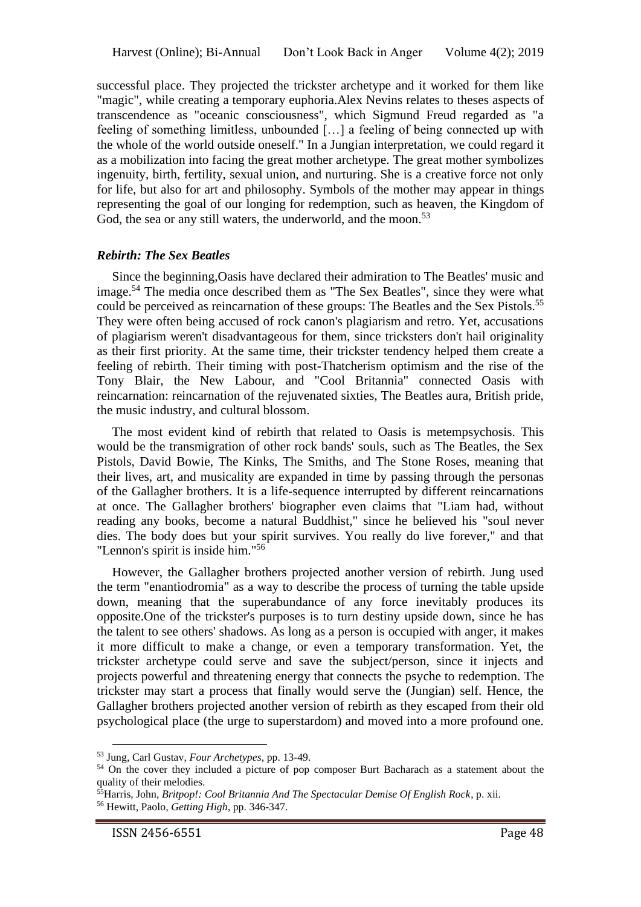successful place. They projected the trickster archetype and it worked for them like "magic", while creating a temporary euphoria.Alex Nevins relates to theses aspects of transcendence as "oceanic consciousness", which Sigmund Freud regarded as "a feeling of something limitless, unbounded […] a feeling of being connected up with the whole of the world outside oneself." In a Jungian interpretation, we could regard it as a mobilization into facing the great mother archetype. The great mother symbolizes ingenuity, birth, fertility, sexual union, and nurturing. She is a creative force not only for life, but also for art and philosophy. Symbols of the mother may appear in things representing the goal of our longing for redemption, such as heaven, the Kingdom of God, the sea or any still waters, the underworld, and the moon.<sup>53</sup>

#### *Rebirth: The Sex Beatles*

Since the beginning,Oasis have declared their admiration to The Beatles' music and image.<sup>54</sup> The media once described them as "The Sex Beatles", since they were what could be perceived as reincarnation of these groups: The Beatles and the Sex Pistols.<sup>55</sup> They were often being accused of rock canon's plagiarism and retro. Yet, accusations of plagiarism weren't disadvantageous for them, since tricksters don't hail originality as their first priority. At the same time, their trickster tendency helped them create a feeling of rebirth. Their timing with post-Thatcherism optimism and the rise of the Tony Blair, the New Labour, and "Cool Britannia" connected Oasis with reincarnation: reincarnation of the rejuvenated sixties, The Beatles aura, British pride, the music industry, and cultural blossom.

The most evident kind of rebirth that related to Oasis is metempsychosis. This would be the transmigration of other rock bands' souls, such as The Beatles, the Sex Pistols, David Bowie, The Kinks, The Smiths, and The Stone Roses, meaning that their lives, art, and musicality are expanded in time by passing through the personas of the Gallagher brothers. It is a life-sequence interrupted by different reincarnations at once. The Gallagher brothers' biographer even claims that "Liam had, without reading any books, become a natural Buddhist," since he believed his "soul never dies. The body does but your spirit survives. You really do live forever," and that "Lennon's spirit is inside him."<sup>56</sup>

However, the Gallagher brothers projected another version of rebirth. Jung used the term "enantiodromia" as a way to describe the process of turning the table upside down, meaning that the superabundance of any force inevitably produces its opposite.One of the trickster's purposes is to turn destiny upside down, since he has the talent to see others' shadows. As long as a person is occupied with anger, it makes it more difficult to make a change, or even a temporary transformation. Yet, the trickster archetype could serve and save the subject/person, since it injects and projects powerful and threatening energy that connects the psyche to redemption. The trickster may start a process that finally would serve the (Jungian) self. Hence, the Gallagher brothers projected another version of rebirth as they escaped from their old psychological place (the urge to superstardom) and moved into a more profound one.

<sup>53</sup> Jung, Carl Gustav, *Four Archetypes*, pp. 13-49.

<sup>&</sup>lt;sup>54</sup> On the cover they included a picture of pop composer Burt Bacharach as a statement about the quality of their melodies.

<sup>55</sup>Harris, John, *Britpop!: Cool Britannia And The Spectacular Demise Of English Rock*, p. xii.

<sup>56</sup> Hewitt, Paolo, *Getting High*, pp. 346-347.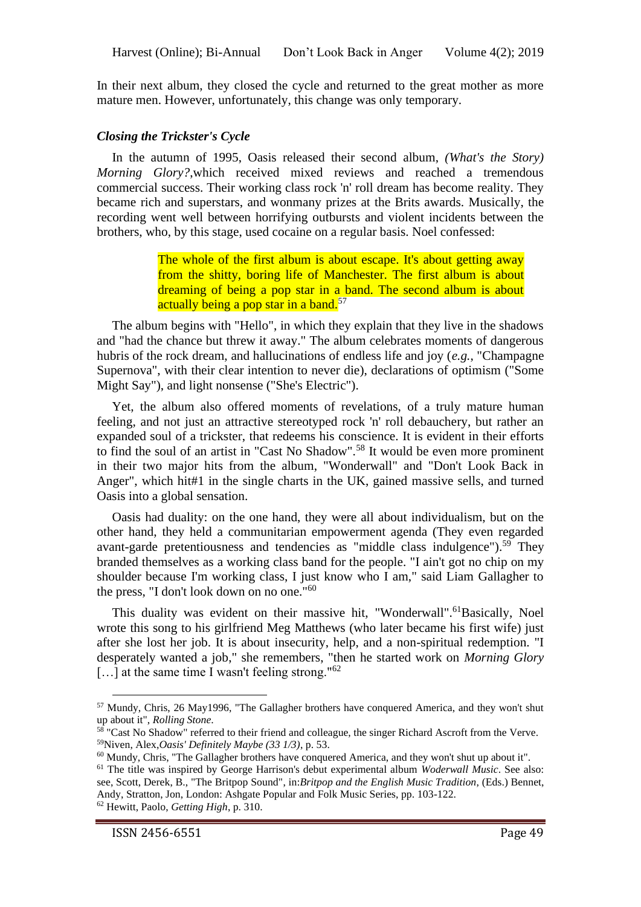In their next album, they closed the cycle and returned to the great mother as more mature men. However, unfortunately, this change was only temporary.

#### *Closing the Trickster's Cycle*

In the autumn of 1995, Oasis released their second album, *(What's the Story) Morning Glory?*,which received mixed reviews and reached a tremendous commercial success. Their working class rock 'n' roll dream has become reality. They became rich and superstars, and wonmany prizes at the Brits awards. Musically, the recording went well between horrifying outbursts and violent incidents between the brothers, who, by this stage, used cocaine on a regular basis. Noel confessed:

> The whole of the first album is about escape. It's about getting away from the shitty, boring life of Manchester. The first album is about dreaming of being a pop star in a band. The second album is about actually being a pop star in a band.<sup>57</sup>

The album begins with "Hello", in which they explain that they live in the shadows and "had the chance but threw it away." The album celebrates moments of dangerous hubris of the rock dream, and hallucinations of endless life and joy (*e.g.*, "Champagne Supernova", with their clear intention to never die), declarations of optimism ("Some Might Say"), and light nonsense ("She's Electric").

Yet, the album also offered moments of revelations, of a truly mature human feeling, and not just an attractive stereotyped rock 'n' roll debauchery, but rather an expanded soul of a trickster, that redeems his conscience. It is evident in their efforts to find the soul of an artist in "Cast No Shadow".<sup>58</sup> It would be even more prominent in their two major hits from the album, "Wonderwall" and "Don't Look Back in Anger", which hit#1 in the single charts in the UK, gained massive sells, and turned Oasis into a global sensation.

Oasis had duality: on the one hand, they were all about individualism, but on the other hand, they held a communitarian empowerment agenda (They even regarded avant-garde pretentiousness and tendencies as "middle class indulgence").<sup>59</sup> They branded themselves as a working class band for the people. "I ain't got no chip on my shoulder because I'm working class, I just know who I am," said Liam Gallagher to the press, "I don't look down on no one."<sup>60</sup>

This duality was evident on their massive hit, "Wonderwall".<sup>61</sup>Basically, Noel wrote this song to his girlfriend Meg Matthews (who later became his first wife) just after she lost her job. It is about insecurity, help, and a non-spiritual redemption. "I desperately wanted a job," she remembers, "then he started work on *Morning Glory* [...] at the same time I wasn't feeling strong."<sup>62</sup>

<sup>57</sup> Mundy, Chris, 26 May1996, "The Gallagher brothers have conquered America, and they won't shut up about it", *Rolling Stone*.

<sup>&</sup>lt;sup>58</sup> "Cast No Shadow" referred to their friend and colleague, the singer Richard Ascroft from the Verve. <sup>59</sup>Niven, Alex,*Oasis' Definitely Maybe (33 1/3)*, p. 53.

 $60$  Mundy, Chris, "The Gallagher brothers have conquered America, and they won't shut up about it".

<sup>61</sup> The title was inspired by George Harrison's debut experimental album *Woderwall Music*. See also: see, Scott, Derek, B., "The Britpop Sound", in:*Britpop and the English Music Tradition*, (Eds.) Bennet, Andy, Stratton, Jon, London: Ashgate Popular and Folk Music Series, pp. 103-122.

<sup>62</sup> Hewitt, Paolo, *Getting High*, p. 310.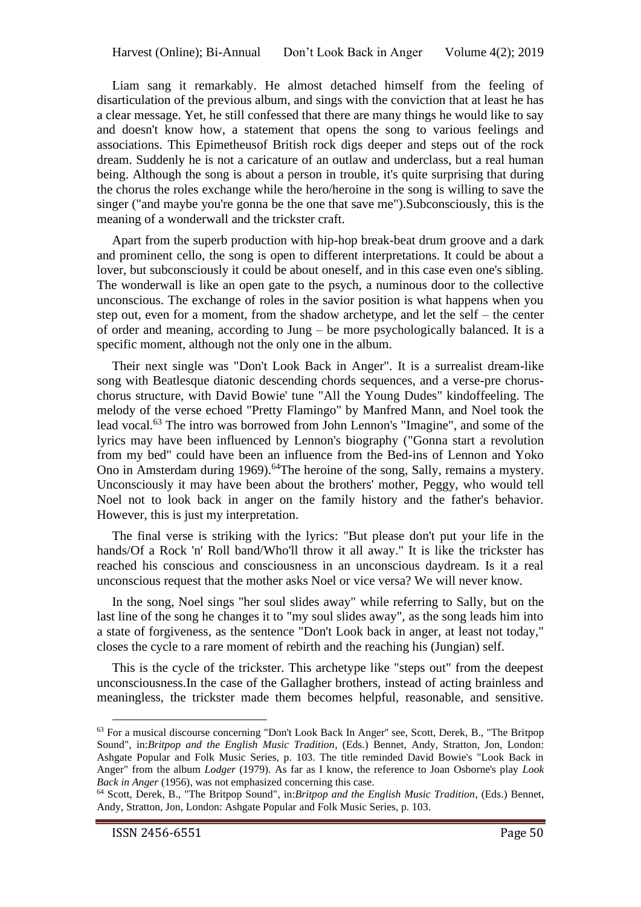Liam sang it remarkably. He almost detached himself from the feeling of disarticulation of the previous album, and sings with the conviction that at least he has a clear message. Yet, he still confessed that there are many things he would like to say and doesn't know how, a statement that opens the song to various feelings and associations. This Epimetheusof British rock digs deeper and steps out of the rock dream. Suddenly he is not a caricature of an outlaw and underclass, but a real human being. Although the song is about a person in trouble, it's quite surprising that during the chorus the roles exchange while the hero/heroine in the song is willing to save the singer ("and maybe you're gonna be the one that save me").Subconsciously, this is the meaning of a wonderwall and the trickster craft.

Apart from the superb production with hip-hop break-beat drum groove and a dark and prominent cello, the song is open to different interpretations. It could be about a lover, but subconsciously it could be about oneself, and in this case even one's sibling. The wonderwall is like an open gate to the psych, a numinous door to the collective unconscious. The exchange of roles in the savior position is what happens when you step out, even for a moment, from the shadow archetype, and let the self – the center of order and meaning, according to Jung – be more psychologically balanced. It is a specific moment, although not the only one in the album.

Their next single was "Don't Look Back in Anger". It is a surrealist dream-like song with Beatlesque diatonic descending chords sequences, and a verse-pre choruschorus structure, with David Bowie' tune "All the Young Dudes" kindoffeeling. The melody of the verse echoed "Pretty Flamingo" by Manfred Mann, and Noel took the lead vocal.<sup>63</sup> The intro was borrowed from John Lennon's "Imagine", and some of the lyrics may have been influenced by Lennon's biography ("Gonna start a revolution from my bed" could have been an influence from the Bed-ins of Lennon and Yoko Ono in Amsterdam during 1969).<sup>64</sup>The heroine of the song, Sally, remains a mystery. Unconsciously it may have been about the brothers' mother, Peggy, who would tell Noel not to look back in anger on the family history and the father's behavior. However, this is just my interpretation.

The final verse is striking with the lyrics: "But please don't put your life in the hands/Of a Rock 'n' Roll band/Who'll throw it all away." It is like the trickster has reached his conscious and consciousness in an unconscious daydream. Is it a real unconscious request that the mother asks Noel or vice versa? We will never know.

In the song, Noel sings "her soul slides away" while referring to Sally, but on the last line of the song he changes it to "my soul slides away", as the song leads him into a state of forgiveness, as the sentence "Don't Look back in anger, at least not today," closes the cycle to a rare moment of rebirth and the reaching his (Jungian) self.

This is the cycle of the trickster. This archetype like "steps out" from the deepest unconsciousness.In the case of the Gallagher brothers, instead of acting brainless and meaningless, the trickster made them becomes helpful, reasonable, and sensitive.

<sup>63</sup> For a musical discourse concerning "Don't Look Back In Anger'' see, Scott, Derek, B., "The Britpop Sound", in:*Britpop and the English Music Tradition*, (Eds.) Bennet, Andy, Stratton, Jon, London: Ashgate Popular and Folk Music Series, p. 103. The title reminded David Bowie's "Look Back in Anger" from the album *Lodger* (1979). As far as I know, the reference to Joan Osborne's play *Look Back in Anger* (1956), was not emphasized concerning this case.

<sup>64</sup> Scott, Derek, B., "The Britpop Sound", in:*Britpop and the English Music Tradition*, (Eds.) Bennet, Andy, Stratton, Jon, London: Ashgate Popular and Folk Music Series, p. 103.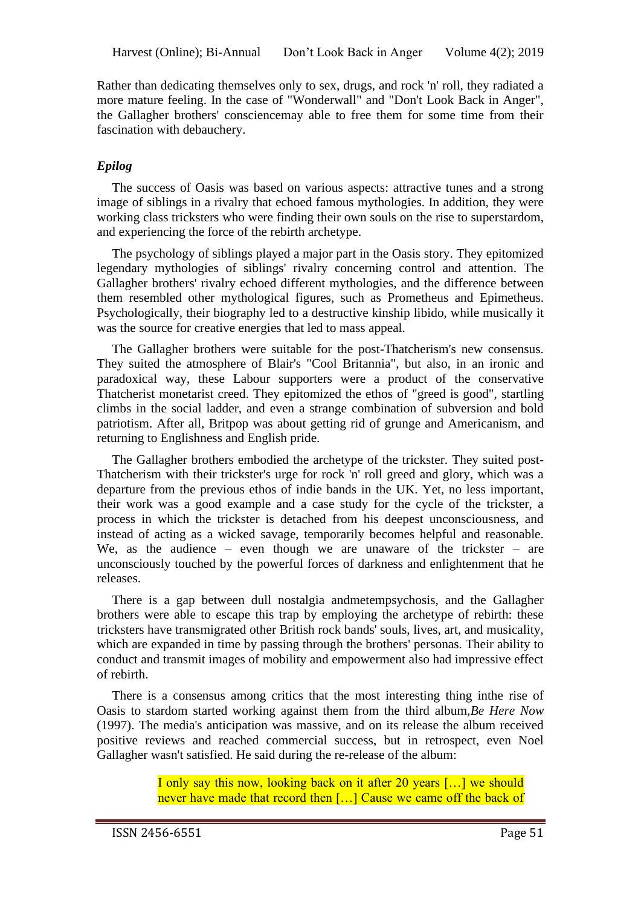Rather than dedicating themselves only to sex, drugs, and rock 'n' roll, they radiated a more mature feeling. In the case of "Wonderwall" and "Don't Look Back in Anger", the Gallagher brothers' consciencemay able to free them for some time from their fascination with debauchery.

# *Epilog*

The success of Oasis was based on various aspects: attractive tunes and a strong image of siblings in a rivalry that echoed famous mythologies. In addition, they were working class tricksters who were finding their own souls on the rise to superstardom, and experiencing the force of the rebirth archetype.

The psychology of siblings played a major part in the Oasis story. They epitomized legendary mythologies of siblings' rivalry concerning control and attention. The Gallagher brothers' rivalry echoed different mythologies, and the difference between them resembled other mythological figures, such as Prometheus and Epimetheus. Psychologically, their biography led to a destructive kinship libido, while musically it was the source for creative energies that led to mass appeal.

The Gallagher brothers were suitable for the post-Thatcherism's new consensus. They suited the atmosphere of Blair's "Cool Britannia", but also, in an ironic and paradoxical way, these Labour supporters were a product of the conservative Thatcherist monetarist creed. They epitomized the ethos of "greed is good", startling climbs in the social ladder, and even a strange combination of subversion and bold patriotism. After all, Britpop was about getting rid of grunge and Americanism, and returning to Englishness and English pride.

The Gallagher brothers embodied the archetype of the trickster. They suited post-Thatcherism with their trickster's urge for rock 'n' roll greed and glory, which was a departure from the previous ethos of indie bands in the UK. Yet, no less important, their work was a good example and a case study for the cycle of the trickster, a process in which the trickster is detached from his deepest unconsciousness, and instead of acting as a wicked savage, temporarily becomes helpful and reasonable. We, as the audience – even though we are unaware of the trickster – are unconsciously touched by the powerful forces of darkness and enlightenment that he releases.

There is a gap between dull nostalgia andmetempsychosis, and the Gallagher brothers were able to escape this trap by employing the archetype of rebirth: these tricksters have transmigrated other British rock bands' souls, lives, art, and musicality, which are expanded in time by passing through the brothers' personas. Their ability to conduct and transmit images of mobility and empowerment also had impressive effect of rebirth.

There is a consensus among critics that the most interesting thing inthe rise of Oasis to stardom started working against them from the third album,*Be Here Now* (1997). The media's anticipation was massive, and on its release the album received positive reviews and reached commercial success, but in retrospect, even Noel Gallagher wasn't satisfied. He said during the re-release of the album:

> I only say this now, looking back on it after 20 years […] we should never have made that record then [...] Cause we came off the back of